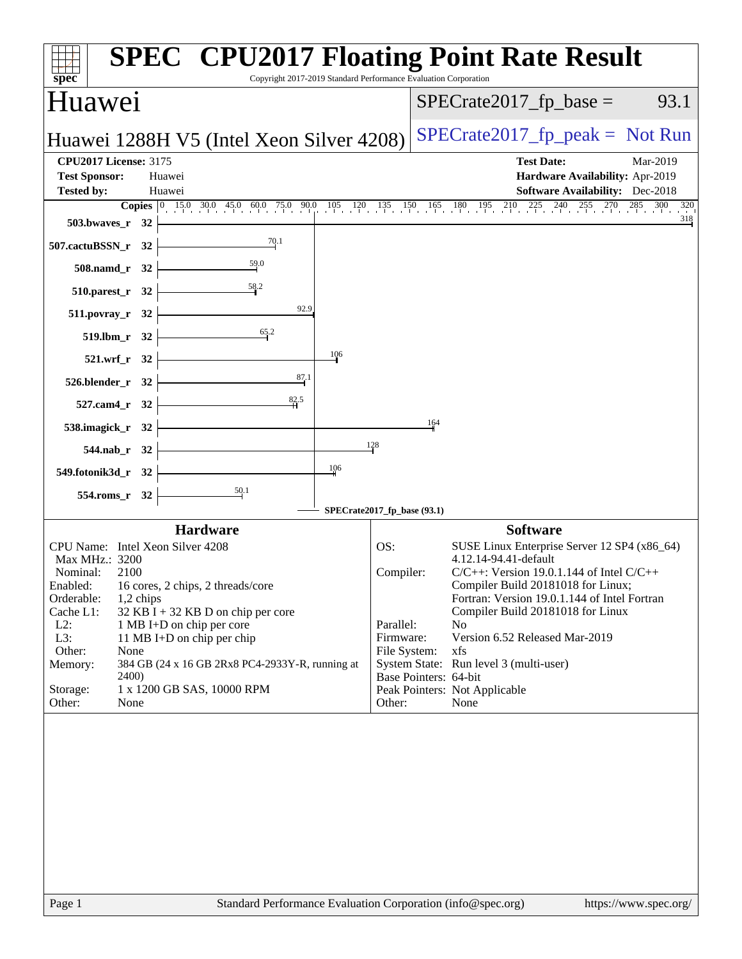| <b>SPEC<sup>®</sup> CPU2017 Floating Point Rate Result</b><br>$spec^*$                                                                                                                                                                                                                                                                                                                                                                                           | Copyright 2017-2019 Standard Performance Evaluation Corporation |                                                                                        |                                                                                                                                                                                                                                                                                                                                                                                                                    |
|------------------------------------------------------------------------------------------------------------------------------------------------------------------------------------------------------------------------------------------------------------------------------------------------------------------------------------------------------------------------------------------------------------------------------------------------------------------|-----------------------------------------------------------------|----------------------------------------------------------------------------------------|--------------------------------------------------------------------------------------------------------------------------------------------------------------------------------------------------------------------------------------------------------------------------------------------------------------------------------------------------------------------------------------------------------------------|
| Huawei                                                                                                                                                                                                                                                                                                                                                                                                                                                           |                                                                 |                                                                                        | $SPECrate2017_fp\_base =$<br>93.1                                                                                                                                                                                                                                                                                                                                                                                  |
| Huawei 1288H V5 (Intel Xeon Silver 4208)                                                                                                                                                                                                                                                                                                                                                                                                                         |                                                                 |                                                                                        | $SPECrate2017_fp\_peak = Not Run$                                                                                                                                                                                                                                                                                                                                                                                  |
| <b>CPU2017 License: 3175</b><br><b>Test Sponsor:</b><br>Huawei<br><b>Tested by:</b><br>Huawei                                                                                                                                                                                                                                                                                                                                                                    |                                                                 |                                                                                        | <b>Test Date:</b><br>Mar-2019<br>Hardware Availability: Apr-2019<br><b>Software Availability:</b> Dec-2018                                                                                                                                                                                                                                                                                                         |
|                                                                                                                                                                                                                                                                                                                                                                                                                                                                  |                                                                 |                                                                                        | <b>Copies</b> $\begin{bmatrix} 0 & 15.0 & 30.0 & 45.0 & 60.0 & 75.0 & 90.0 & 105 & 120 & 135 & 150 & 165 & 180 & 195 & 210 & 225 & 240 & 255 & 270 & 285 & 300 & 320 \end{bmatrix}$                                                                                                                                                                                                                                |
| 503.bwaves_ $r = 32$                                                                                                                                                                                                                                                                                                                                                                                                                                             |                                                                 |                                                                                        |                                                                                                                                                                                                                                                                                                                                                                                                                    |
| 507.cactuBSSN_r 32                                                                                                                                                                                                                                                                                                                                                                                                                                               |                                                                 |                                                                                        |                                                                                                                                                                                                                                                                                                                                                                                                                    |
| $508$ .namd_r 32 $\vert$<br>$510.parest_r 32$                                                                                                                                                                                                                                                                                                                                                                                                                    |                                                                 |                                                                                        |                                                                                                                                                                                                                                                                                                                                                                                                                    |
| 92.9<br>$511.povray_r$ 32                                                                                                                                                                                                                                                                                                                                                                                                                                        |                                                                 |                                                                                        |                                                                                                                                                                                                                                                                                                                                                                                                                    |
| $\overline{65.2}$<br>519.lbm_r 32                                                                                                                                                                                                                                                                                                                                                                                                                                |                                                                 |                                                                                        |                                                                                                                                                                                                                                                                                                                                                                                                                    |
| 521.wrf_r 32                                                                                                                                                                                                                                                                                                                                                                                                                                                     | 106                                                             |                                                                                        |                                                                                                                                                                                                                                                                                                                                                                                                                    |
| $\frac{87.1}{4}$<br>526.blender_r 32                                                                                                                                                                                                                                                                                                                                                                                                                             |                                                                 |                                                                                        |                                                                                                                                                                                                                                                                                                                                                                                                                    |
| $527$ .cam4_r 32                                                                                                                                                                                                                                                                                                                                                                                                                                                 |                                                                 |                                                                                        |                                                                                                                                                                                                                                                                                                                                                                                                                    |
| 538.imagick_r 32 $\vert$                                                                                                                                                                                                                                                                                                                                                                                                                                         |                                                                 | 164                                                                                    |                                                                                                                                                                                                                                                                                                                                                                                                                    |
| $544.nab_r$ 32                                                                                                                                                                                                                                                                                                                                                                                                                                                   | 128                                                             |                                                                                        |                                                                                                                                                                                                                                                                                                                                                                                                                    |
| 549.fotonik3d_r 32 $\vert$                                                                                                                                                                                                                                                                                                                                                                                                                                       | 106                                                             |                                                                                        |                                                                                                                                                                                                                                                                                                                                                                                                                    |
| 554.roms_r 32                                                                                                                                                                                                                                                                                                                                                                                                                                                    |                                                                 |                                                                                        |                                                                                                                                                                                                                                                                                                                                                                                                                    |
|                                                                                                                                                                                                                                                                                                                                                                                                                                                                  | SPECrate2017_fp_base (93.1)                                     |                                                                                        |                                                                                                                                                                                                                                                                                                                                                                                                                    |
| <b>Hardware</b><br>CPU Name: Intel Xeon Silver 4208<br>Max MHz.: 3200<br>Nominal:<br>2100<br>Enabled: 16 cores, 2 chips, 2 threads/core<br>Orderable:<br>1,2 chips<br>Cache L1:<br>$32$ KB I + 32 KB D on chip per core<br>$L2$ :<br>1 MB I+D on chip per core<br>L3:<br>11 MB I+D on chip per chip<br>Other:<br>None<br>Memory:<br>384 GB (24 x 16 GB 2Rx8 PC4-2933Y-R, running at<br><b>2400</b> )<br>1 x 1200 GB SAS, 10000 RPM<br>Storage:<br>Other:<br>None | OS:                                                             | Compiler:<br>Parallel:<br>Firmware:<br>File System:<br>Base Pointers: 64-bit<br>Other: | <b>Software</b><br>SUSE Linux Enterprise Server 12 SP4 (x86_64)<br>4.12.14-94.41-default<br>$C/C++$ : Version 19.0.1.144 of Intel $C/C++$<br>Compiler Build 20181018 for Linux;<br>Fortran: Version 19.0.1.144 of Intel Fortran<br>Compiler Build 20181018 for Linux<br>N <sub>o</sub><br>Version 6.52 Released Mar-2019<br>xfs<br>System State: Run level 3 (multi-user)<br>Peak Pointers: Not Applicable<br>None |
| Standard Performance Evaluation Corporation (info@spec.org)<br>Page 1                                                                                                                                                                                                                                                                                                                                                                                            |                                                                 |                                                                                        | https://www.spec.org/                                                                                                                                                                                                                                                                                                                                                                                              |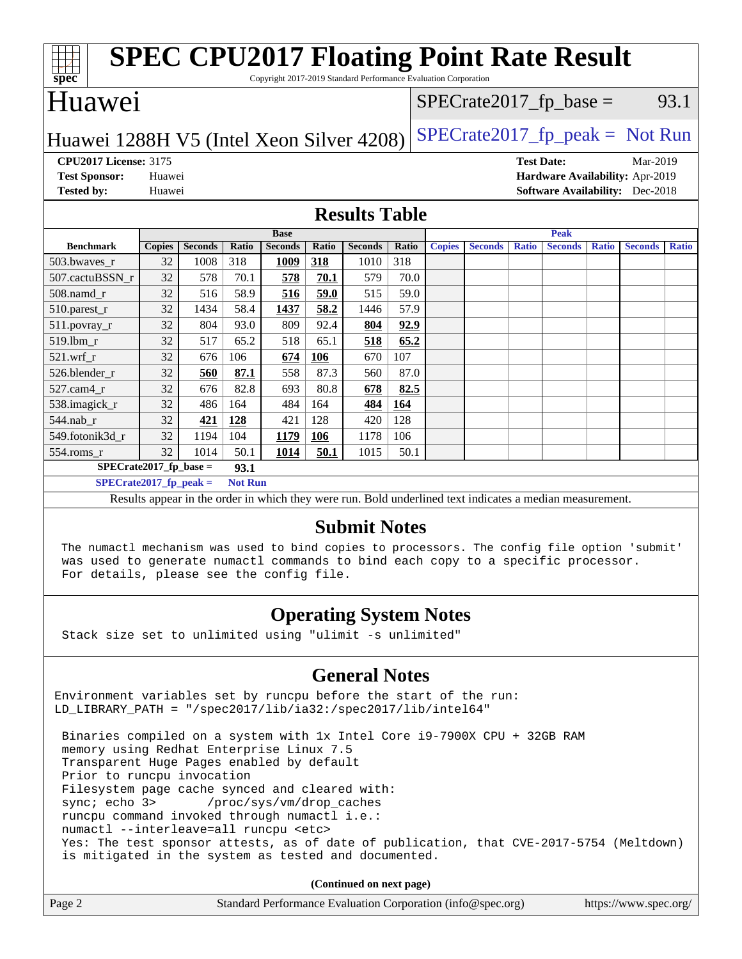| <b>SPEC CPU2017 Floating Point Rate Result</b><br>$\overline{\text{spec}^*}$<br>Copyright 2017-2019 Standard Performance Evaluation Corporation |               |                |       |                |       |                |                                   |               |                |                   |                |              |                                        |              |
|-------------------------------------------------------------------------------------------------------------------------------------------------|---------------|----------------|-------|----------------|-------|----------------|-----------------------------------|---------------|----------------|-------------------|----------------|--------------|----------------------------------------|--------------|
| Huawei                                                                                                                                          |               |                |       |                |       |                | $SPECrate2017_fp\_base =$<br>93.1 |               |                |                   |                |              |                                        |              |
| $SPECrate2017_fp\_peak = Not Run$<br>Huawei 1288H V5 (Intel Xeon Silver 4208)                                                                   |               |                |       |                |       |                |                                   |               |                |                   |                |              |                                        |              |
| <b>CPU2017 License: 3175</b>                                                                                                                    |               |                |       |                |       |                |                                   |               |                | <b>Test Date:</b> |                |              | Mar-2019                               |              |
| <b>Test Sponsor:</b>                                                                                                                            | Huawei        |                |       |                |       |                |                                   |               |                |                   |                |              | Hardware Availability: Apr-2019        |              |
| <b>Tested by:</b>                                                                                                                               | Huawei        |                |       |                |       |                |                                   |               |                |                   |                |              | <b>Software Availability:</b> Dec-2018 |              |
| <b>Results Table</b>                                                                                                                            |               |                |       |                |       |                |                                   |               |                |                   |                |              |                                        |              |
|                                                                                                                                                 |               |                |       | <b>Base</b>    |       |                |                                   |               |                |                   | <b>Peak</b>    |              |                                        |              |
| <b>Benchmark</b>                                                                                                                                | <b>Copies</b> | <b>Seconds</b> | Ratio | <b>Seconds</b> | Ratio | <b>Seconds</b> | Ratio                             | <b>Copies</b> | <b>Seconds</b> | <b>Ratio</b>      | <b>Seconds</b> | <b>Ratio</b> | <b>Seconds</b>                         | <b>Ratio</b> |
| 503.bwaves_r                                                                                                                                    | 32            | 1008           | 318   | 1009           | 318   | 1010           | 318                               |               |                |                   |                |              |                                        |              |
| 507.cactuBSSN r                                                                                                                                 | 32            | 578            | 70.1  | 578            | 70.1  | 579            | 70.0                              |               |                |                   |                |              |                                        |              |
| $508$ .namd $r$                                                                                                                                 | 32            | 516            | 58.9  | 516            | 59.0  | 515            | 59.0                              |               |                |                   |                |              |                                        |              |
| 510.parest_r                                                                                                                                    | 32            | 1434           | 58.4  | 1437           | 58.2  | 1446           | 57.9                              |               |                |                   |                |              |                                        |              |
| 511.povray_r                                                                                                                                    | 32            | 804            | 93.0  | 809            | 92.4  | 804            | 92.9                              |               |                |                   |                |              |                                        |              |
| 519.lbm_r                                                                                                                                       | 32            | 517            | 65.2  | 518            | 65.1  | 518            | 65.2                              |               |                |                   |                |              |                                        |              |
| $521$ .wrf r                                                                                                                                    | 32            | 676            | 106   | 674            | 106   | 670            | 107                               |               |                |                   |                |              |                                        |              |
| 526.blender_r                                                                                                                                   | 32            | 560            | 87.1  | 558            | 87.3  | 560            | 87.0                              |               |                |                   |                |              |                                        |              |
| 527.cam4 r                                                                                                                                      | 32            | 676            | 82.8  | 693            | 80.8  | 678            | 82.5                              |               |                |                   |                |              |                                        |              |
| 538.imagick_r                                                                                                                                   | 32            | 486            | 164   | 484            | 164   | 484            | 164                               |               |                |                   |                |              |                                        |              |
| 544.nab r                                                                                                                                       | 32            | 421            | 128   | 421            | 128   | 420            | 128                               |               |                |                   |                |              |                                        |              |
| 549.fotonik3d r                                                                                                                                 | 32            | 1194           | 104   | 1179           | 106   | 1178           | 106                               |               |                |                   |                |              |                                        |              |
| 554.roms_r                                                                                                                                      | 32            | 1014           | 50.1  | 1014           | 50.1  | 1015           | 50.1                              |               |                |                   |                |              |                                        |              |
| $SPECrate2017_fp\_base =$                                                                                                                       |               |                | 93.1  |                |       |                |                                   |               |                |                   |                |              |                                        |              |
| $SPECrate2017_fp\_peak =$<br><b>Not Run</b>                                                                                                     |               |                |       |                |       |                |                                   |               |                |                   |                |              |                                        |              |
| Results appear in the order in which they were run. Bold underlined text indicates a median measurement.                                        |               |                |       |                |       |                |                                   |               |                |                   |                |              |                                        |              |
| <b>Submit Notes</b>                                                                                                                             |               |                |       |                |       |                |                                   |               |                |                   |                |              |                                        |              |

 The numactl mechanism was used to bind copies to processors. The config file option 'submit' was used to generate numactl commands to bind each copy to a specific processor. For details, please see the config file.

#### **[Operating System Notes](http://www.spec.org/auto/cpu2017/Docs/result-fields.html#OperatingSystemNotes)**

Stack size set to unlimited using "ulimit -s unlimited"

#### **[General Notes](http://www.spec.org/auto/cpu2017/Docs/result-fields.html#GeneralNotes)**

Environment variables set by runcpu before the start of the run: LD\_LIBRARY\_PATH = "/spec2017/lib/ia32:/spec2017/lib/intel64"

 Binaries compiled on a system with 1x Intel Core i9-7900X CPU + 32GB RAM memory using Redhat Enterprise Linux 7.5 Transparent Huge Pages enabled by default Prior to runcpu invocation Filesystem page cache synced and cleared with: sync; echo 3> /proc/sys/vm/drop\_caches runcpu command invoked through numactl i.e.: numactl --interleave=all runcpu <etc> Yes: The test sponsor attests, as of date of publication, that CVE-2017-5754 (Meltdown) is mitigated in the system as tested and documented.

**(Continued on next page)**

| Page 2 | Standard Performance Evaluation Corporation (info@spec.org) | https://www.spec.org/ |
|--------|-------------------------------------------------------------|-----------------------|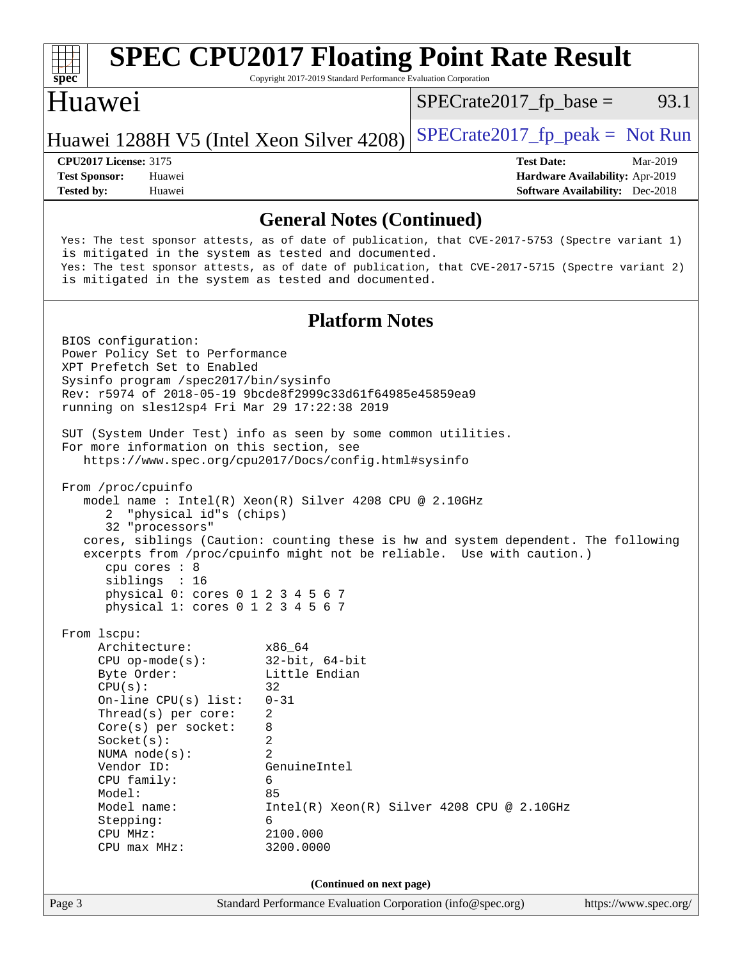| $spec^*$                                                                                                                                                                                                                                                                                   | Copyright 2017-2019 Standard Performance Evaluation Corporation                                                                                             | <b>SPEC CPU2017 Floating Point Rate Result</b>                                                                                                                                                       |
|--------------------------------------------------------------------------------------------------------------------------------------------------------------------------------------------------------------------------------------------------------------------------------------------|-------------------------------------------------------------------------------------------------------------------------------------------------------------|------------------------------------------------------------------------------------------------------------------------------------------------------------------------------------------------------|
| Huawei                                                                                                                                                                                                                                                                                     |                                                                                                                                                             | $SPECrate2017_fp\_base =$<br>93.1                                                                                                                                                                    |
| Huawei 1288H V5 (Intel Xeon Silver 4208)                                                                                                                                                                                                                                                   |                                                                                                                                                             | $SPECTate2017_fp\_peak = Not Run$                                                                                                                                                                    |
| <b>CPU2017 License: 3175</b><br><b>Test Sponsor:</b><br>Huawei<br><b>Tested by:</b><br>Huawei                                                                                                                                                                                              |                                                                                                                                                             | <b>Test Date:</b><br>Mar-2019<br>Hardware Availability: Apr-2019<br><b>Software Availability:</b> Dec-2018                                                                                           |
|                                                                                                                                                                                                                                                                                            | <b>General Notes (Continued)</b>                                                                                                                            |                                                                                                                                                                                                      |
| is mitigated in the system as tested and documented.<br>is mitigated in the system as tested and documented.                                                                                                                                                                               |                                                                                                                                                             | Yes: The test sponsor attests, as of date of publication, that CVE-2017-5753 (Spectre variant 1)<br>Yes: The test sponsor attests, as of date of publication, that CVE-2017-5715 (Spectre variant 2) |
|                                                                                                                                                                                                                                                                                            | <b>Platform Notes</b>                                                                                                                                       |                                                                                                                                                                                                      |
| BIOS configuration:<br>Power Policy Set to Performance<br>XPT Prefetch Set to Enabled<br>Sysinfo program /spec2017/bin/sysinfo<br>Rev: r5974 of 2018-05-19 9bcde8f2999c33d61f64985e45859ea9<br>running on sles12sp4 Fri Mar 29 17:22:38 2019                                               |                                                                                                                                                             |                                                                                                                                                                                                      |
| SUT (System Under Test) info as seen by some common utilities.<br>For more information on this section, see<br>https://www.spec.org/cpu2017/Docs/config.html#sysinfo                                                                                                                       |                                                                                                                                                             |                                                                                                                                                                                                      |
| From /proc/cpuinfo<br>model name: $Intel(R)$ Xeon(R) Silver 4208 CPU @ 2.10GHz<br>"physical id"s (chips)<br>32 "processors"<br>cpu cores : 8<br>siblings : 16<br>physical 0: cores 0 1 2 3 4 5 6 7<br>physical 1: cores 0 1 2 3 4 5 6 7                                                    |                                                                                                                                                             | cores, siblings (Caution: counting these is hw and system dependent. The following<br>excerpts from /proc/cpuinfo might not be reliable. Use with caution.)                                          |
| From lscpu:<br>Architecture:<br>$CPU$ op-mode(s):<br>Byte Order:<br>CPU(s):<br>On-line $CPU(s)$ list:<br>Thread(s) per core:<br>$Core(s)$ per socket:<br>Socket(s):<br>NUMA $node(s)$ :<br>Vendor ID:<br>CPU family:<br>Model:<br>Model name:<br>Stepping:<br>CPU MHz:<br>$CPU$ max $MHz:$ | x86_64<br>$32$ -bit, $64$ -bit<br>Little Endian<br>32<br>$0 - 31$<br>2<br>8<br>$\overline{c}$<br>2<br>GenuineIntel<br>6<br>85<br>6<br>2100.000<br>3200.0000 | $Intel(R) Xeon(R) Silver 4208 CPU @ 2.10GHz$                                                                                                                                                         |
|                                                                                                                                                                                                                                                                                            | (Continued on next page)                                                                                                                                    |                                                                                                                                                                                                      |

Page 3 Standard Performance Evaluation Corporation [\(info@spec.org\)](mailto:info@spec.org) <https://www.spec.org/>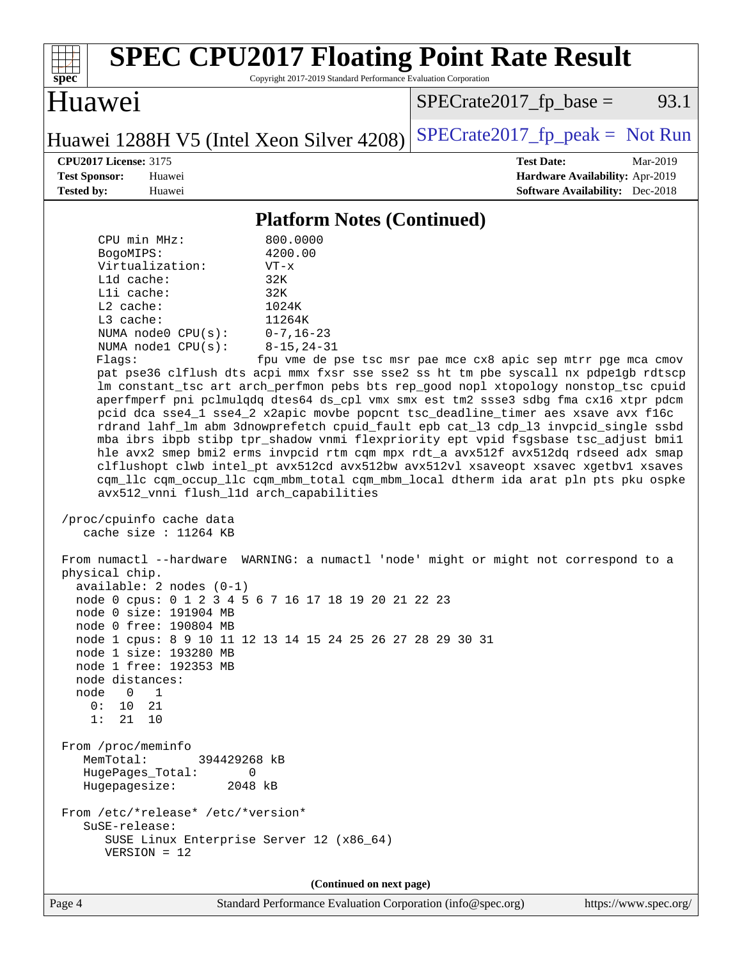| $spec^*$                                                                                                                                                                                                                                                                                                                                                                                                                                                                                                                                                                                                                                                                                                                                                                                                                                                                                                                                                                                                                                                                                                                                                                                                                                                                                                                                                                                                                                                                                                                                                                                                                                                                                                                                                                                                                                                                                                                                                             | <b>SPEC CPU2017 Floating Point Rate Result</b><br>Copyright 2017-2019 Standard Performance Evaluation Corporation |  |  |  |  |
|----------------------------------------------------------------------------------------------------------------------------------------------------------------------------------------------------------------------------------------------------------------------------------------------------------------------------------------------------------------------------------------------------------------------------------------------------------------------------------------------------------------------------------------------------------------------------------------------------------------------------------------------------------------------------------------------------------------------------------------------------------------------------------------------------------------------------------------------------------------------------------------------------------------------------------------------------------------------------------------------------------------------------------------------------------------------------------------------------------------------------------------------------------------------------------------------------------------------------------------------------------------------------------------------------------------------------------------------------------------------------------------------------------------------------------------------------------------------------------------------------------------------------------------------------------------------------------------------------------------------------------------------------------------------------------------------------------------------------------------------------------------------------------------------------------------------------------------------------------------------------------------------------------------------------------------------------------------------|-------------------------------------------------------------------------------------------------------------------|--|--|--|--|
| Huawei                                                                                                                                                                                                                                                                                                                                                                                                                                                                                                                                                                                                                                                                                                                                                                                                                                                                                                                                                                                                                                                                                                                                                                                                                                                                                                                                                                                                                                                                                                                                                                                                                                                                                                                                                                                                                                                                                                                                                               | $SPECrate2017_fp\_base =$<br>93.1                                                                                 |  |  |  |  |
| Huawei 1288H V5 (Intel Xeon Silver 4208)                                                                                                                                                                                                                                                                                                                                                                                                                                                                                                                                                                                                                                                                                                                                                                                                                                                                                                                                                                                                                                                                                                                                                                                                                                                                                                                                                                                                                                                                                                                                                                                                                                                                                                                                                                                                                                                                                                                             | $SPECrate2017_fp\_peak = Not Run$                                                                                 |  |  |  |  |
| <b>CPU2017 License: 3175</b><br><b>Test Sponsor:</b><br>Huawei<br><b>Tested by:</b><br>Huawei                                                                                                                                                                                                                                                                                                                                                                                                                                                                                                                                                                                                                                                                                                                                                                                                                                                                                                                                                                                                                                                                                                                                                                                                                                                                                                                                                                                                                                                                                                                                                                                                                                                                                                                                                                                                                                                                        | <b>Test Date:</b><br>Mar-2019<br>Hardware Availability: Apr-2019<br><b>Software Availability:</b> Dec-2018        |  |  |  |  |
|                                                                                                                                                                                                                                                                                                                                                                                                                                                                                                                                                                                                                                                                                                                                                                                                                                                                                                                                                                                                                                                                                                                                                                                                                                                                                                                                                                                                                                                                                                                                                                                                                                                                                                                                                                                                                                                                                                                                                                      |                                                                                                                   |  |  |  |  |
| <b>Platform Notes (Continued)</b><br>800.0000<br>CPU min MHz:<br>4200.00<br>BogoMIPS:<br>Virtualization:<br>$VT - x$<br>L1d cache:<br>32K<br>Lli cache:<br>32K<br>L2 cache:<br>1024K<br>L3 cache:<br>11264K<br>$0 - 7, 16 - 23$<br>NUMA $node0$ $CPU(s):$<br>NUMA nodel CPU(s):<br>$8 - 15, 24 - 31$<br>fpu vme de pse tsc msr pae mce cx8 apic sep mtrr pge mca cmov<br>Flaqs:<br>pat pse36 clflush dts acpi mmx fxsr sse sse2 ss ht tm pbe syscall nx pdpelgb rdtscp<br>lm constant_tsc art arch_perfmon pebs bts rep_good nopl xtopology nonstop_tsc cpuid<br>aperfmperf pni pclmulqdq dtes64 ds_cpl vmx smx est tm2 ssse3 sdbg fma cx16 xtpr pdcm<br>pcid dca sse4_1 sse4_2 x2apic movbe popcnt tsc_deadline_timer aes xsave avx f16c<br>rdrand lahf_lm abm 3dnowprefetch cpuid_fault epb cat_13 cdp_13 invpcid_single ssbd<br>mba ibrs ibpb stibp tpr_shadow vnmi flexpriority ept vpid fsgsbase tsc_adjust bmil<br>hle avx2 smep bmi2 erms invpcid rtm cqm mpx rdt_a avx512f avx512dq rdseed adx smap<br>clflushopt clwb intel_pt avx512cd avx512bw avx512vl xsaveopt xsavec xgetbvl xsaves<br>cqm_llc cqm_occup_llc cqm_mbm_total cqm_mbm_local dtherm ida arat pln pts pku ospke<br>avx512_vnni flush_l1d arch_capabilities<br>/proc/cpuinfo cache data<br>cache size : $11264$ KB<br>WARNING: a numactl 'node' might or might not correspond to a<br>From numactl --hardware<br>physical chip.<br>$available: 2 nodes (0-1)$<br>node 0 cpus: 0 1 2 3 4 5 6 7 16 17 18 19 20 21 22 23<br>node 0 size: 191904 MB<br>node 0 free: 190804 MB<br>node 1 cpus: 8 9 10 11 12 13 14 15 24 25 26 27 28 29 30 31<br>node 1 size: 193280 MB<br>node 1 free: 192353 MB<br>node distances:<br>node<br>$0\quad 1$<br>0: 10 21<br>1:<br>21 10<br>From /proc/meminfo<br>MemTotal:<br>394429268 kB<br>HugePages_Total:<br>0<br>Hugepagesize:<br>2048 kB<br>From /etc/*release* /etc/*version*<br>SuSE-release:<br>SUSE Linux Enterprise Server 12 (x86_64)<br>$VERSION = 12$ |                                                                                                                   |  |  |  |  |
|                                                                                                                                                                                                                                                                                                                                                                                                                                                                                                                                                                                                                                                                                                                                                                                                                                                                                                                                                                                                                                                                                                                                                                                                                                                                                                                                                                                                                                                                                                                                                                                                                                                                                                                                                                                                                                                                                                                                                                      | (Continued on next page)                                                                                          |  |  |  |  |
| Page 4                                                                                                                                                                                                                                                                                                                                                                                                                                                                                                                                                                                                                                                                                                                                                                                                                                                                                                                                                                                                                                                                                                                                                                                                                                                                                                                                                                                                                                                                                                                                                                                                                                                                                                                                                                                                                                                                                                                                                               | Standard Performance Evaluation Corporation (info@spec.org)<br>https://www.spec.org/                              |  |  |  |  |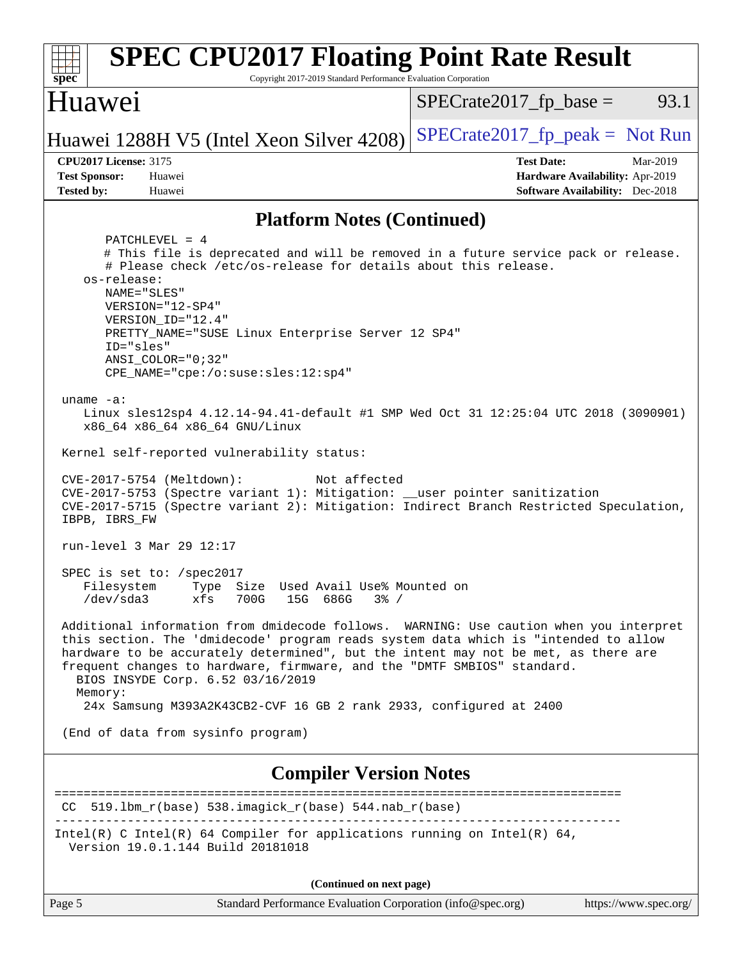| <b>SPEC CPU2017 Floating Point Rate Result</b><br>Copyright 2017-2019 Standard Performance Evaluation Corporation<br>spec <sup>®</sup>                                                                                                                                                                                                                                                                                                                               |                                                                                                            |  |  |  |
|----------------------------------------------------------------------------------------------------------------------------------------------------------------------------------------------------------------------------------------------------------------------------------------------------------------------------------------------------------------------------------------------------------------------------------------------------------------------|------------------------------------------------------------------------------------------------------------|--|--|--|
| <b>Huawei</b>                                                                                                                                                                                                                                                                                                                                                                                                                                                        | $SPECrate2017fr base =$<br>93.1                                                                            |  |  |  |
| Huawei 1288H V5 (Intel Xeon Silver 4208)                                                                                                                                                                                                                                                                                                                                                                                                                             | $SPECrate2017_fp\_peak = Not Run$                                                                          |  |  |  |
| <b>CPU2017 License: 3175</b><br><b>Test Sponsor:</b><br>Huawei<br><b>Tested by:</b><br>Huawei                                                                                                                                                                                                                                                                                                                                                                        | <b>Test Date:</b><br>Mar-2019<br>Hardware Availability: Apr-2019<br><b>Software Availability:</b> Dec-2018 |  |  |  |
| <b>Platform Notes (Continued)</b>                                                                                                                                                                                                                                                                                                                                                                                                                                    |                                                                                                            |  |  |  |
| $PATCHLEVEL = 4$<br># This file is deprecated and will be removed in a future service pack or release.<br># Please check /etc/os-release for details about this release.<br>os-release:<br>NAME="SLES"<br>VERSION="12-SP4"<br>VERSION ID="12.4"<br>PRETTY_NAME="SUSE Linux Enterprise Server 12 SP4"<br>ID="sles"<br>$ANSI$ _COLOR=" $0:32$ "<br>$CPE\_NAME="cpe://o:suse: sles:12:sp4"$<br>uname $-a$ :                                                             |                                                                                                            |  |  |  |
| Linux sles12sp4 4.12.14-94.41-default #1 SMP Wed Oct 31 12:25:04 UTC 2018 (3090901)<br>x86_64 x86_64 x86_64 GNU/Linux<br>Kernel self-reported vulnerability status:                                                                                                                                                                                                                                                                                                  |                                                                                                            |  |  |  |
| CVE-2017-5754 (Meltdown):<br>Not affected<br>CVE-2017-5753 (Spectre variant 1): Mitigation: __user pointer sanitization<br>CVE-2017-5715 (Spectre variant 2): Mitigation: Indirect Branch Restricted Speculation,<br>IBPB, IBRS_FW                                                                                                                                                                                                                                   |                                                                                                            |  |  |  |
| run-level 3 Mar 29 12:17                                                                                                                                                                                                                                                                                                                                                                                                                                             |                                                                                                            |  |  |  |
| SPEC is set to: /spec2017<br>Size Used Avail Use% Mounted on<br>Filesystem<br>Type<br>/dev/sda3<br>15G 686G 3% /<br>xfs<br>700G                                                                                                                                                                                                                                                                                                                                      |                                                                                                            |  |  |  |
| Additional information from dmidecode follows. WARNING: Use caution when you interpret<br>this section. The 'dmidecode' program reads system data which is "intended to allow<br>hardware to be accurately determined", but the intent may not be met, as there are<br>frequent changes to hardware, firmware, and the "DMTF SMBIOS" standard.<br>BIOS INSYDE Corp. 6.52 03/16/2019<br>Memory:<br>24x Samsung M393A2K43CB2-CVF 16 GB 2 rank 2933, configured at 2400 |                                                                                                            |  |  |  |
| (End of data from sysinfo program)                                                                                                                                                                                                                                                                                                                                                                                                                                   |                                                                                                            |  |  |  |
| <b>Compiler Version Notes</b>                                                                                                                                                                                                                                                                                                                                                                                                                                        |                                                                                                            |  |  |  |
| $CC$ 519.1bm_r(base) 538.imagick_r(base) 544.nab_r(base)                                                                                                                                                                                                                                                                                                                                                                                                             | =====================                                                                                      |  |  |  |
| Intel(R) C Intel(R) 64 Compiler for applications running on Intel(R) 64,<br>Version 19.0.1.144 Build 20181018                                                                                                                                                                                                                                                                                                                                                        |                                                                                                            |  |  |  |

**(Continued on next page)**

Page 5 Standard Performance Evaluation Corporation [\(info@spec.org\)](mailto:info@spec.org) <https://www.spec.org/>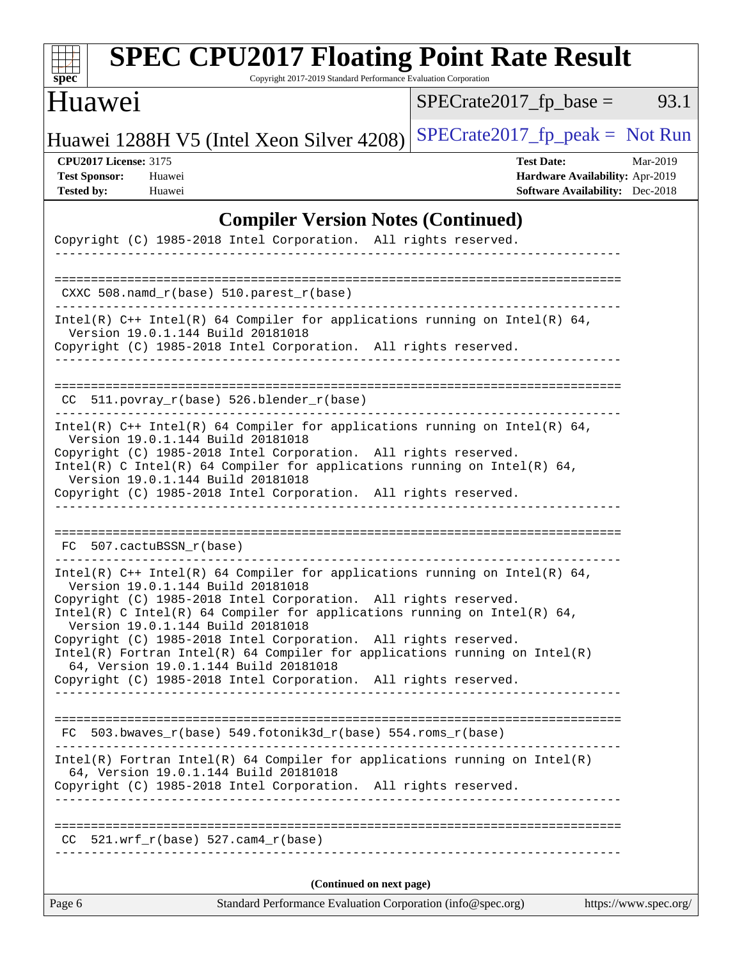| <b>SPEC CPU2017 Floating Point Rate Result</b><br>Copyright 2017-2019 Standard Performance Evaluation Corporation<br>$spec^*$                                                                                                                                                                                                                                                                                                                                                                                                                                        |                                                                                                            |
|----------------------------------------------------------------------------------------------------------------------------------------------------------------------------------------------------------------------------------------------------------------------------------------------------------------------------------------------------------------------------------------------------------------------------------------------------------------------------------------------------------------------------------------------------------------------|------------------------------------------------------------------------------------------------------------|
| <b>Huawei</b>                                                                                                                                                                                                                                                                                                                                                                                                                                                                                                                                                        | 93.1<br>$SPECrate2017_fp\_base =$                                                                          |
| Huawei 1288H V5 (Intel Xeon Silver 4208)                                                                                                                                                                                                                                                                                                                                                                                                                                                                                                                             | $SPECrate2017rfp peak = Not Run$                                                                           |
| <b>CPU2017 License: 3175</b><br><b>Test Sponsor:</b><br>Huawei<br><b>Tested by:</b><br>Huawei                                                                                                                                                                                                                                                                                                                                                                                                                                                                        | <b>Test Date:</b><br>Mar-2019<br>Hardware Availability: Apr-2019<br><b>Software Availability:</b> Dec-2018 |
| <b>Compiler Version Notes (Continued)</b><br>Copyright (C) 1985-2018 Intel Corporation. All rights reserved.                                                                                                                                                                                                                                                                                                                                                                                                                                                         |                                                                                                            |
| $CXXC 508.namd_r(base) 510.parest_r(base)$                                                                                                                                                                                                                                                                                                                                                                                                                                                                                                                           |                                                                                                            |
| Intel(R) $C++$ Intel(R) 64 Compiler for applications running on Intel(R) 64,<br>Version 19.0.1.144 Build 20181018<br>Copyright (C) 1985-2018 Intel Corporation. All rights reserved.<br>-------------------------                                                                                                                                                                                                                                                                                                                                                    |                                                                                                            |
| CC 511.povray_r(base) 526.blender_r(base)                                                                                                                                                                                                                                                                                                                                                                                                                                                                                                                            |                                                                                                            |
| Intel(R) $C++$ Intel(R) 64 Compiler for applications running on Intel(R) 64,<br>Version 19.0.1.144 Build 20181018<br>Copyright (C) 1985-2018 Intel Corporation. All rights reserved.<br>Intel(R) C Intel(R) 64 Compiler for applications running on Intel(R) 64,<br>Version 19.0.1.144 Build 20181018<br>Copyright (C) 1985-2018 Intel Corporation. All rights reserved.                                                                                                                                                                                             |                                                                                                            |
| 507.cactuBSSN r(base)<br>FC.                                                                                                                                                                                                                                                                                                                                                                                                                                                                                                                                         |                                                                                                            |
| Intel(R) $C++$ Intel(R) 64 Compiler for applications running on Intel(R) 64,<br>Version 19.0.1.144 Build 20181018<br>Copyright (C) 1985-2018 Intel Corporation. All rights reserved.<br>Intel(R) C Intel(R) 64 Compiler for applications running on Intel(R) 64,<br>Version 19.0.1.144 Build 20181018<br>Copyright (C) 1985-2018 Intel Corporation. All rights reserved.<br>$Intel(R)$ Fortran Intel(R) 64 Compiler for applications running on Intel(R)<br>64, Version 19.0.1.144 Build 20181018<br>Copyright (C) 1985-2018 Intel Corporation. All rights reserved. |                                                                                                            |
| $FC$ 503.bwaves_r(base) 549.fotonik3d_r(base) 554.roms_r(base)                                                                                                                                                                                                                                                                                                                                                                                                                                                                                                       |                                                                                                            |
| $Intel(R)$ Fortran Intel(R) 64 Compiler for applications running on Intel(R)<br>64, Version 19.0.1.144 Build 20181018<br>Copyright (C) 1985-2018 Intel Corporation. All rights reserved.                                                                                                                                                                                                                                                                                                                                                                             |                                                                                                            |
| $CC$ 521.wrf_r(base) 527.cam4_r(base)                                                                                                                                                                                                                                                                                                                                                                                                                                                                                                                                |                                                                                                            |
| (Continued on next page)                                                                                                                                                                                                                                                                                                                                                                                                                                                                                                                                             |                                                                                                            |
| Page 6<br>Standard Performance Evaluation Corporation (info@spec.org)                                                                                                                                                                                                                                                                                                                                                                                                                                                                                                | https://www.spec.org/                                                                                      |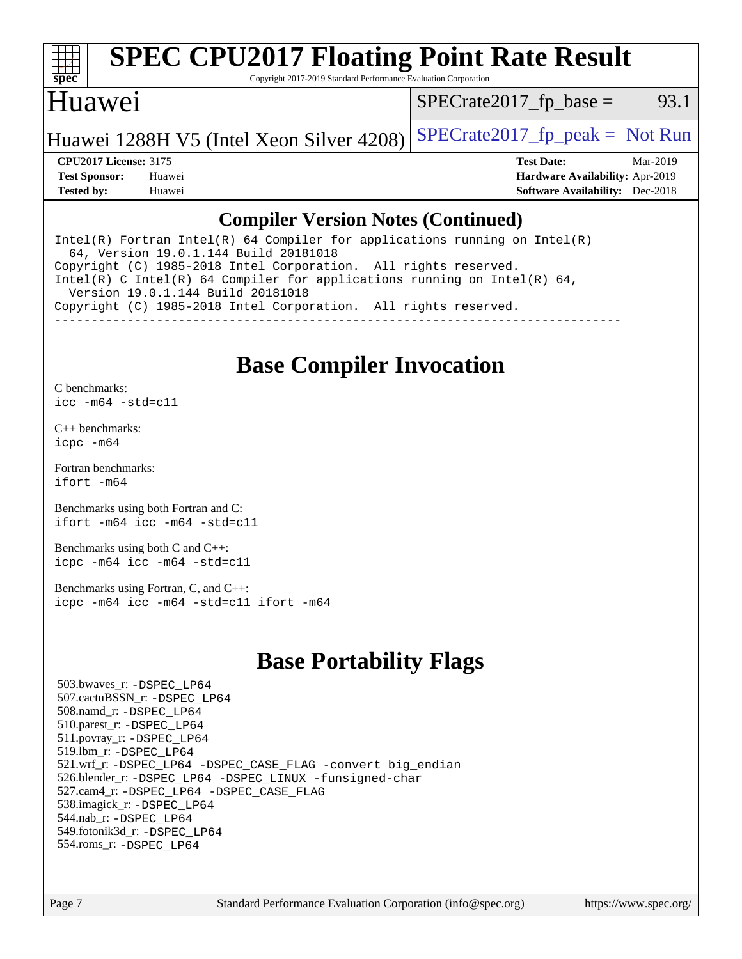

# **[SPEC CPU2017 Floating Point Rate Result](http://www.spec.org/auto/cpu2017/Docs/result-fields.html#SPECCPU2017FloatingPointRateResult)**

Copyright 2017-2019 Standard Performance Evaluation Corporation

#### Huawei

 $SPECTate2017<sub>fr</sub> base = 93.1$ 

Huawei 1288H V5 (Intel Xeon Silver 4208) SPECrate  $2017$  fp peak = Not Run

**[CPU2017 License:](http://www.spec.org/auto/cpu2017/Docs/result-fields.html#CPU2017License)** 3175 **[Test Date:](http://www.spec.org/auto/cpu2017/Docs/result-fields.html#TestDate)** Mar-2019 **[Test Sponsor:](http://www.spec.org/auto/cpu2017/Docs/result-fields.html#TestSponsor)** Huawei **[Hardware Availability:](http://www.spec.org/auto/cpu2017/Docs/result-fields.html#HardwareAvailability)** Apr-2019 **[Tested by:](http://www.spec.org/auto/cpu2017/Docs/result-fields.html#Testedby)** Huawei **[Software Availability:](http://www.spec.org/auto/cpu2017/Docs/result-fields.html#SoftwareAvailability)** Dec-2018

#### **[Compiler Version Notes \(Continued\)](http://www.spec.org/auto/cpu2017/Docs/result-fields.html#CompilerVersionNotes)**

Intel(R) Fortran Intel(R)  $64$  Compiler for applications running on Intel(R) 64, Version 19.0.1.144 Build 20181018 Copyright (C) 1985-2018 Intel Corporation. All rights reserved. Intel(R) C Intel(R) 64 Compiler for applications running on Intel(R)  $64$ , Version 19.0.1.144 Build 20181018 Copyright (C) 1985-2018 Intel Corporation. All rights reserved. ------------------------------------------------------------------------------

### **[Base Compiler Invocation](http://www.spec.org/auto/cpu2017/Docs/result-fields.html#BaseCompilerInvocation)**

[C benchmarks](http://www.spec.org/auto/cpu2017/Docs/result-fields.html#Cbenchmarks): [icc -m64 -std=c11](http://www.spec.org/cpu2017/results/res2019q2/cpu2017-20190428-12566.flags.html#user_CCbase_intel_icc_64bit_c11_33ee0cdaae7deeeab2a9725423ba97205ce30f63b9926c2519791662299b76a0318f32ddfffdc46587804de3178b4f9328c46fa7c2b0cd779d7a61945c91cd35)

[C++ benchmarks:](http://www.spec.org/auto/cpu2017/Docs/result-fields.html#CXXbenchmarks) [icpc -m64](http://www.spec.org/cpu2017/results/res2019q2/cpu2017-20190428-12566.flags.html#user_CXXbase_intel_icpc_64bit_4ecb2543ae3f1412ef961e0650ca070fec7b7afdcd6ed48761b84423119d1bf6bdf5cad15b44d48e7256388bc77273b966e5eb805aefd121eb22e9299b2ec9d9)

[Fortran benchmarks](http://www.spec.org/auto/cpu2017/Docs/result-fields.html#Fortranbenchmarks): [ifort -m64](http://www.spec.org/cpu2017/results/res2019q2/cpu2017-20190428-12566.flags.html#user_FCbase_intel_ifort_64bit_24f2bb282fbaeffd6157abe4f878425411749daecae9a33200eee2bee2fe76f3b89351d69a8130dd5949958ce389cf37ff59a95e7a40d588e8d3a57e0c3fd751)

[Benchmarks using both Fortran and C](http://www.spec.org/auto/cpu2017/Docs/result-fields.html#BenchmarksusingbothFortranandC): [ifort -m64](http://www.spec.org/cpu2017/results/res2019q2/cpu2017-20190428-12566.flags.html#user_CC_FCbase_intel_ifort_64bit_24f2bb282fbaeffd6157abe4f878425411749daecae9a33200eee2bee2fe76f3b89351d69a8130dd5949958ce389cf37ff59a95e7a40d588e8d3a57e0c3fd751) [icc -m64 -std=c11](http://www.spec.org/cpu2017/results/res2019q2/cpu2017-20190428-12566.flags.html#user_CC_FCbase_intel_icc_64bit_c11_33ee0cdaae7deeeab2a9725423ba97205ce30f63b9926c2519791662299b76a0318f32ddfffdc46587804de3178b4f9328c46fa7c2b0cd779d7a61945c91cd35)

[Benchmarks using both C and C++](http://www.spec.org/auto/cpu2017/Docs/result-fields.html#BenchmarksusingbothCandCXX): [icpc -m64](http://www.spec.org/cpu2017/results/res2019q2/cpu2017-20190428-12566.flags.html#user_CC_CXXbase_intel_icpc_64bit_4ecb2543ae3f1412ef961e0650ca070fec7b7afdcd6ed48761b84423119d1bf6bdf5cad15b44d48e7256388bc77273b966e5eb805aefd121eb22e9299b2ec9d9) [icc -m64 -std=c11](http://www.spec.org/cpu2017/results/res2019q2/cpu2017-20190428-12566.flags.html#user_CC_CXXbase_intel_icc_64bit_c11_33ee0cdaae7deeeab2a9725423ba97205ce30f63b9926c2519791662299b76a0318f32ddfffdc46587804de3178b4f9328c46fa7c2b0cd779d7a61945c91cd35)

[Benchmarks using Fortran, C, and C++:](http://www.spec.org/auto/cpu2017/Docs/result-fields.html#BenchmarksusingFortranCandCXX) [icpc -m64](http://www.spec.org/cpu2017/results/res2019q2/cpu2017-20190428-12566.flags.html#user_CC_CXX_FCbase_intel_icpc_64bit_4ecb2543ae3f1412ef961e0650ca070fec7b7afdcd6ed48761b84423119d1bf6bdf5cad15b44d48e7256388bc77273b966e5eb805aefd121eb22e9299b2ec9d9) [icc -m64 -std=c11](http://www.spec.org/cpu2017/results/res2019q2/cpu2017-20190428-12566.flags.html#user_CC_CXX_FCbase_intel_icc_64bit_c11_33ee0cdaae7deeeab2a9725423ba97205ce30f63b9926c2519791662299b76a0318f32ddfffdc46587804de3178b4f9328c46fa7c2b0cd779d7a61945c91cd35) [ifort -m64](http://www.spec.org/cpu2017/results/res2019q2/cpu2017-20190428-12566.flags.html#user_CC_CXX_FCbase_intel_ifort_64bit_24f2bb282fbaeffd6157abe4f878425411749daecae9a33200eee2bee2fe76f3b89351d69a8130dd5949958ce389cf37ff59a95e7a40d588e8d3a57e0c3fd751)

## **[Base Portability Flags](http://www.spec.org/auto/cpu2017/Docs/result-fields.html#BasePortabilityFlags)**

 503.bwaves\_r: [-DSPEC\\_LP64](http://www.spec.org/cpu2017/results/res2019q2/cpu2017-20190428-12566.flags.html#suite_basePORTABILITY503_bwaves_r_DSPEC_LP64) 507.cactuBSSN\_r: [-DSPEC\\_LP64](http://www.spec.org/cpu2017/results/res2019q2/cpu2017-20190428-12566.flags.html#suite_basePORTABILITY507_cactuBSSN_r_DSPEC_LP64) 508.namd\_r: [-DSPEC\\_LP64](http://www.spec.org/cpu2017/results/res2019q2/cpu2017-20190428-12566.flags.html#suite_basePORTABILITY508_namd_r_DSPEC_LP64) 510.parest\_r: [-DSPEC\\_LP64](http://www.spec.org/cpu2017/results/res2019q2/cpu2017-20190428-12566.flags.html#suite_basePORTABILITY510_parest_r_DSPEC_LP64) 511.povray\_r: [-DSPEC\\_LP64](http://www.spec.org/cpu2017/results/res2019q2/cpu2017-20190428-12566.flags.html#suite_basePORTABILITY511_povray_r_DSPEC_LP64) 519.lbm\_r: [-DSPEC\\_LP64](http://www.spec.org/cpu2017/results/res2019q2/cpu2017-20190428-12566.flags.html#suite_basePORTABILITY519_lbm_r_DSPEC_LP64) 521.wrf\_r: [-DSPEC\\_LP64](http://www.spec.org/cpu2017/results/res2019q2/cpu2017-20190428-12566.flags.html#suite_basePORTABILITY521_wrf_r_DSPEC_LP64) [-DSPEC\\_CASE\\_FLAG](http://www.spec.org/cpu2017/results/res2019q2/cpu2017-20190428-12566.flags.html#b521.wrf_r_baseCPORTABILITY_DSPEC_CASE_FLAG) [-convert big\\_endian](http://www.spec.org/cpu2017/results/res2019q2/cpu2017-20190428-12566.flags.html#user_baseFPORTABILITY521_wrf_r_convert_big_endian_c3194028bc08c63ac5d04de18c48ce6d347e4e562e8892b8bdbdc0214820426deb8554edfa529a3fb25a586e65a3d812c835984020483e7e73212c4d31a38223) 526.blender\_r: [-DSPEC\\_LP64](http://www.spec.org/cpu2017/results/res2019q2/cpu2017-20190428-12566.flags.html#suite_basePORTABILITY526_blender_r_DSPEC_LP64) [-DSPEC\\_LINUX](http://www.spec.org/cpu2017/results/res2019q2/cpu2017-20190428-12566.flags.html#b526.blender_r_baseCPORTABILITY_DSPEC_LINUX) [-funsigned-char](http://www.spec.org/cpu2017/results/res2019q2/cpu2017-20190428-12566.flags.html#user_baseCPORTABILITY526_blender_r_force_uchar_40c60f00ab013830e2dd6774aeded3ff59883ba5a1fc5fc14077f794d777847726e2a5858cbc7672e36e1b067e7e5c1d9a74f7176df07886a243d7cc18edfe67) 527.cam4\_r: [-DSPEC\\_LP64](http://www.spec.org/cpu2017/results/res2019q2/cpu2017-20190428-12566.flags.html#suite_basePORTABILITY527_cam4_r_DSPEC_LP64) [-DSPEC\\_CASE\\_FLAG](http://www.spec.org/cpu2017/results/res2019q2/cpu2017-20190428-12566.flags.html#b527.cam4_r_baseCPORTABILITY_DSPEC_CASE_FLAG) 538.imagick\_r: [-DSPEC\\_LP64](http://www.spec.org/cpu2017/results/res2019q2/cpu2017-20190428-12566.flags.html#suite_basePORTABILITY538_imagick_r_DSPEC_LP64) 544.nab\_r: [-DSPEC\\_LP64](http://www.spec.org/cpu2017/results/res2019q2/cpu2017-20190428-12566.flags.html#suite_basePORTABILITY544_nab_r_DSPEC_LP64) 549.fotonik3d\_r: [-DSPEC\\_LP64](http://www.spec.org/cpu2017/results/res2019q2/cpu2017-20190428-12566.flags.html#suite_basePORTABILITY549_fotonik3d_r_DSPEC_LP64) 554.roms\_r: [-DSPEC\\_LP64](http://www.spec.org/cpu2017/results/res2019q2/cpu2017-20190428-12566.flags.html#suite_basePORTABILITY554_roms_r_DSPEC_LP64)